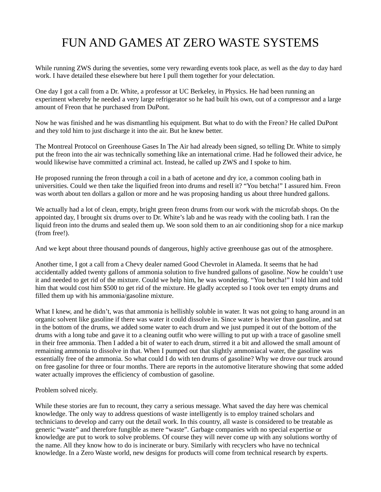## FUN AND GAMES AT ZERO WASTE SYSTEMS

While running ZWS during the seventies, some very rewarding events took place, as well as the day to day hard work. I have detailed these elsewhere but here I pull them together for your delectation.

One day I got a call from a Dr. White, a professor at UC Berkeley, in Physics. He had been running an experiment whereby he needed a very large refrigerator so he had built his own, out of a compressor and a large amount of Freon that he purchased from DuPont.

Now he was finished and he was dismantling his equipment. But what to do with the Freon? He called DuPont and they told him to just discharge it into the air. But he knew better.

The Montreal Protocol on Greenhouse Gases In The Air had already been signed, so telling Dr. White to simply put the freon into the air was technically something like an international crime. Had he followed their advice, he would likewise have committed a criminal act. Instead, he called up ZWS and I spoke to him.

He proposed running the freon through a coil in a bath of acetone and dry ice, a common cooling bath in universities. Could we then take the liquified freon into drums and resell it? "You betcha!" I assured him. Freon was worth about ten dollars a gallon or more and he was proposing handing us about three hundred gallons.

We actually had a lot of clean, empty, bright green freon drums from our work with the microfab shops. On the appointed day, I brought six drums over to Dr. White's lab and he was ready with the cooling bath. I ran the liquid freon into the drums and sealed them up. We soon sold them to an air conditioning shop for a nice markup (from free!).

And we kept about three thousand pounds of dangerous, highly active greenhouse gas out of the atmosphere.

Another time, I got a call from a Chevy dealer named Good Chevrolet in Alameda. It seems that he had accidentally added twenty gallons of ammonia solution to five hundred gallons of gasoline. Now he couldn't use it and needed to get rid of the mixture. Could we help him, he was wondering. "You betcha!" I told him and told him that would cost him \$500 to get rid of the mixture. He gladly accepted so I took over ten empty drums and filled them up with his ammonia/gasoline mixture.

What I knew, and he didn't, was that ammonia is hellishly soluble in water. It was not going to hang around in an organic solvent like gasoline if there was water it could dissolve in. Since water is heavier than gasoline, and sat in the bottom of the drums, we added some water to each drum and we just pumped it out of the bottom of the drums with a long tube and gave it to a cleaning outfit who were willing to put up with a trace of gasoline smell in their free ammonia. Then I added a bit of water to each drum, stirred it a bit and allowed the small amount of remaining ammonia to dissolve in that. When I pumped out that slightly ammoniacal water, the gasoline was essentially free of the ammonia. So what could I do with ten drums of gasoline? Why we drove our truck around on free gasoline for three or four months. There are reports in the automotive literature showing that some added water actually improves the efficiency of combustion of gasoline.

## Problem solved nicely.

While these stories are fun to recount, they carry a serious message. What saved the day here was chemical knowledge. The only way to address questions of waste intelligently is to employ trained scholars and technicians to develop and carry out the detail work. In this country, all waste is considered to be treatable as generic "waste" and therefore fungible as mere "waste". Garbage companies with no special expertise or knowledge are put to work to solve problems. Of course they will never come up with any solutions worthy of the name. All they know how to do is incinerate or bury. Similarly with recyclers who have no technical knowledge. In a Zero Waste world, new designs for products will come from technical research by experts.